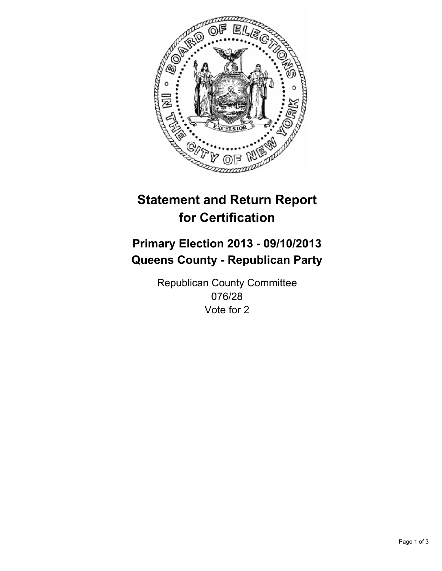

# **Statement and Return Report for Certification**

# **Primary Election 2013 - 09/10/2013 Queens County - Republican Party**

Republican County Committee 076/28 Vote for 2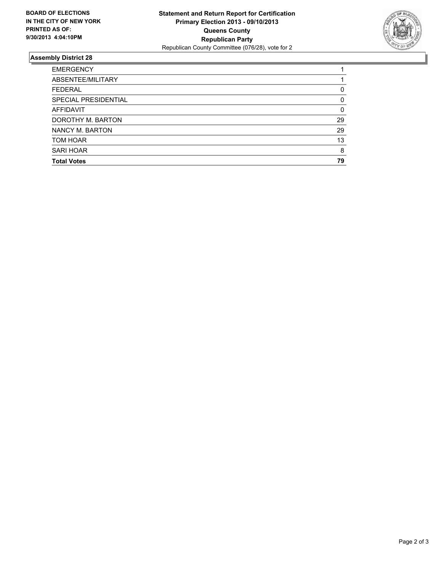

## **Assembly District 28**

| <b>EMERGENCY</b>     |          |
|----------------------|----------|
| ABSENTEE/MILITARY    |          |
| <b>FEDERAL</b>       | 0        |
| SPECIAL PRESIDENTIAL | $\Omega$ |
| AFFIDAVIT            | 0        |
| DOROTHY M. BARTON    | 29       |
| NANCY M. BARTON      | 29       |
| TOM HOAR             | 13       |
| SARI HOAR            | 8        |
| <b>Total Votes</b>   | 79       |